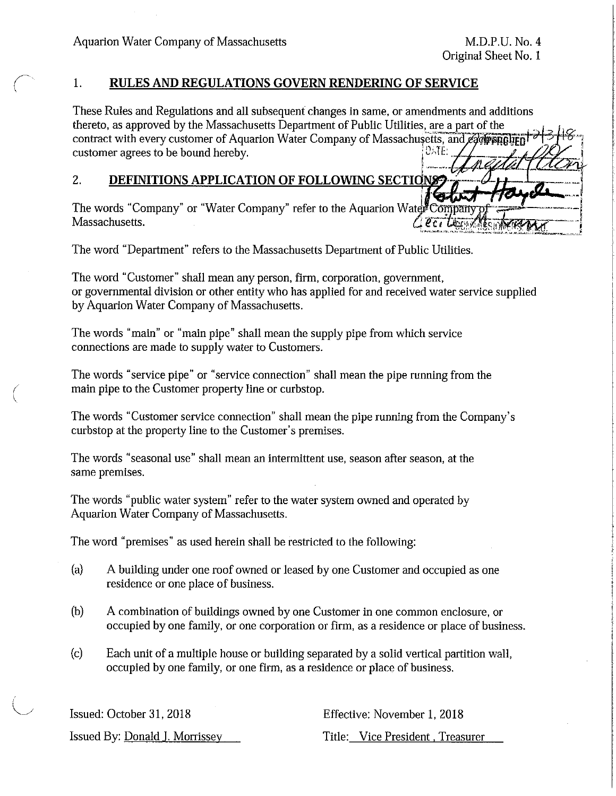(  $\setminus$ 

(  $\backslash$ 

## 1. **RULES AND REGULATIONS GOVERN RENDERING OF SERVICE**

These Rules and Regulations and all subsequent changes in same, or amendments and additions thereto, as approved by the Massachusetts Department of Public Utilities, are a part of the contract with every customer of Aquarion Water Company of Massachusetts, and each particular of  $\frac{13.7}{2}$ 

## 2. **DEFINITIONS APPLICATION OF FOLLOWING SECTIO**

 $76$   $\mu$   $+$   $72$   $\mu$ The words "Company" or "Water Company" refer to the Aquarion Wate Massachusetts. Massachusetts. '€ct-~;~ .:·: .. ,SitJrr~~~--, ··~-....,..,~-~""·"·"-' ,.,. \_\_ ,,,~.~ -'-···-~ o.=~ .. ·---~...:.....~.:\_...;,.,.:....,...,""-=-'-, .... ""-~

The word "Department" refers to the Massachusetts Department of Public Utilities.

The word "Customer" shall mean any person, firm, corporation, govermnent, or governmental division or other entity who has applied for and received water service supplied by Aquarion Water Company of Massachusetts.

The words "main" or "main pipe" shall mean the supply pipe from which service connections are made to supply water to Customers.

The words "service pipe" or "service connection" shall mean the pipe running from the main pipe to the Customer property line or curbstop.

The words "Customer service connection" shall mean the pipe running from the Company's curbstop at the property line to the Customer's premises.

The words "seasonal use" shall mean an intermittent use, season after season, at the same premises.

The words "public water system" refer to the water system owned and operated by Aquarion Water Company of Massachusetts.

The word "premises" as used herein shall be restricted to the following:

- (a) A building under one roof owned or leased by one Customer and occupied as one residence or one place of business.
- (b) A combination of buildings owned by one Customer in one common enclosure, or occupied by one family, or one corporation or firm, as a residence or place of business.
- (c) Each unit of a multiple house or building separated by a solid vertical partition wall, occupied by one family, or one firm, as a residence or place of business.

| Issued: October 31, 2018       | Effective: November 1, 2018      |  |  |
|--------------------------------|----------------------------------|--|--|
| Issued By: Donald J. Morrissey | Title: Vice President, Treasurer |  |  |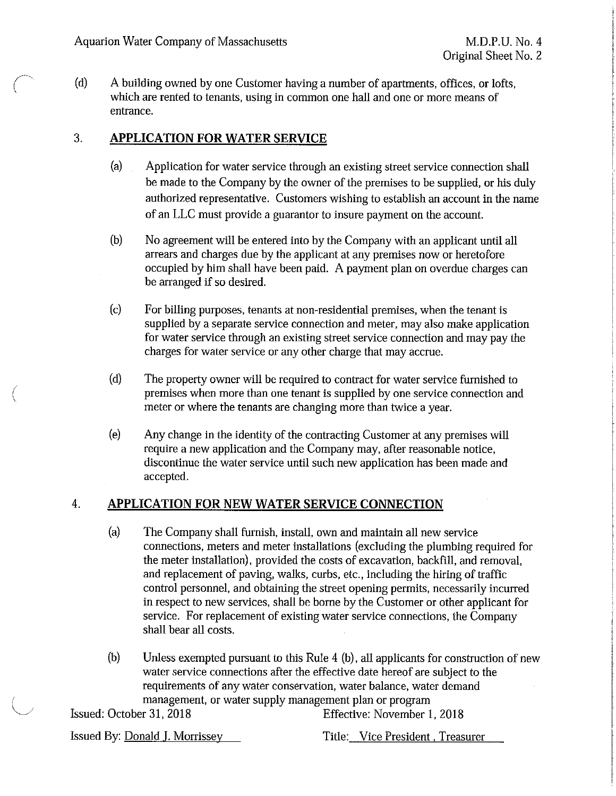(d) A building owned by one Customer having a number of apartments, offices, or lofts, which are rented to tenants, using in common one hall and one or more means of entrance.

# 3. **APPLICATION FOR WATER SERVICE**

- (a) Application for water service through an existing street service connection shall be made to the Company by the owner of the premises to be supplied, or his duly authorized representative. Customers wishing to establish an account in the name of an LLC must provide a guarantor to insure payment on the account.
- (b) No agreement will be entered into by the Company with an applicant until all arrears and charges due by the applicant at any premises now or heretofore occupied by him shall have been paid. A payment plan on overdue charges can be arranged if so desired.
- (c) For billing purposes, tenants at non-residential premises, when the tenant is supplied by a separate service connection and meter, may also make application for water service through an existing street service connection and may pay the charges for water service or any other charge that may accrue.
- (d) The property owner will be required to contract for water service furnished to premises when more than one tenant is supplied by one service connection and meter or where the tenants are changing more than twice a year.
- (e) Any change in the identity of the contracting Customer at any premises will require a new application and the Company may, after reasonable notice, discontinue the water service until such new application has been made and accepted.

# 4. **APPLICATION FOR NEW WATER SERVICE CONNECTION**

- (a) The Company shall furnish, install, own and maintain all new service connections, meters and meter installations (excluding the plumbing required for the meter installation), provided the costs of excavation, backfill, and removal, and replacement of paving, walks, curbs, etc., including the hiring of traffic control personnel, and obtaining the street opening permits, necessarily incurred in respect to new services, shall be borne by the Customer or other applicant for service. For replacement of existing water service connections, the Company shall bear all costs.
- (b) Unless exempted pursuant to this Rule 4 (b), all applicants for construction of new water service connections after the effective date hereof are subject to the requirements of any water conservation, water balance, water demand management, or water supply management plan or program

(

Issued: October 31, 2018 Effective: November 1, 2018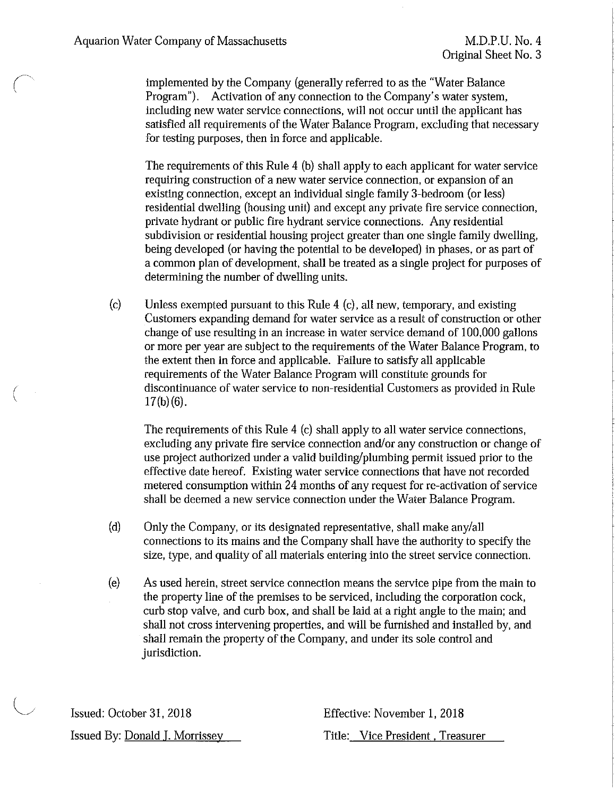( '

 $\left(\right)$ 

implemented by the Company (generally referred to as the "Water Balance Program"). Activation of any connection to the Company's water system, including new water service connections, will not occur until the applicant has satisfied all requirements of the Water Balance Program, excluding that necessary for testing purposes, then in force and applicable.

The requirements of this Rule 4 (b) shall apply to each applicant for water service requiring construction of a new water service connection, or expansion of an existing connection, except an individual single family 3-bedroom (or less) residential dwelling (housing unit) and except any private fire service connection, private hydrant or public fire hydrant service connections. Any residential subdivision or residential housing project greater than one single family dwelling, being developed (or having the potential to be developed) in phases, or as part of a common plan of development, shall be treated as a single project for purposes of determining the number of dwelling units.

(c) Unless exempted pursuant to this Rule 4 (c), all new, temporary, and existing Customers expanding demand for water service as a result of construction or other change of use resulting in an increase in water service demand of 100,000 gallons or more per year are subject to the requirements of the Water Balance Program, to the extent then in force and applicable. Failure to satisfy all applicable requirements of the Water Balance Program will constitute grounds for discontinuance of water service to non-residential Customers as provided in Rule  $17(b)(6)$ .

The requirements of this Rule 4 (c) shall apply to all water service connections, excluding any private fire service connection and/or any construction or change of use project authorized under a valid building/plumbing permit issued prior to the effective date hereof. Existing water service connections that have not recorded metered consumption within 24 months of any request for re-activation of service shall be deemed a new service connection under the Water Balance Program.

- (d) Only the Company, or its designated representative, shall make any/all connections to its mains and the Company shall have the authority to specify the size, type, and quality of all materials entering into the street service connection.
- (e) As used herein, street service connection means the service pipe from the main to the property line of the premises to be serviced, including the corporation cock, curb stop valve, and curb box, and shall be laid at a right angle to the main; and shall not cross intervening properties, and will be furnished and installed by, and shall remain the property of the Company, and under its sole control and jurisdiction.

Issued: October 31, 2018 Issued By: Donald I. Morrissey Effective: November 1, 2018 Title: Vice President . Treasurer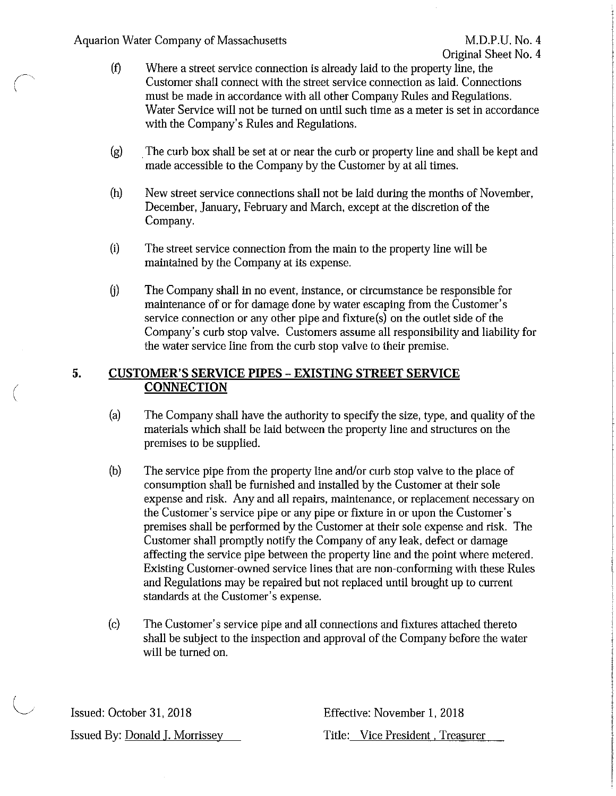### Aquarion Water Company of Massachusetts M.D.P.U. No. 4

(  $\overline{\phantom{a}}$ 

(

- (f) Where a street service connection is already laid to the property line, the Customer shall connect with the street service connection as laid. Connections must be made in accordance with all other Company Rules and Regulations. Water Service will not be turned on until such time as a meter is set in accordance with the Company's Rules and Regulations.
- (g) . The curb box shall be set at or near the curb or property line and shall be kept and made accessible to the Company by the Customer by at all times.
- (h) New street service connections shall not be laid during the months of November, December, January, February and March, except at the discretion of the Company.
- (i) The street service connection from the main to the property line will be maintained by the Company at its expense.
- G) The Company shall in no event, instance, or circumstance be responsible for maintenance of or for damage done by water escaping from the Customer's service connection or any other pipe and fixture(s) on the outlet side of the Company's curb stop valve. Customers assume all responsibility and liability for the water service line from the curb stop valve to their premise.

#### *5.*  **CUSTOMER'S SERVICE PIPES - EXISTING STREET SERVICE CONNECTION**

- (a) The Company shall have the authority to specify the size, type, and quality of the materials which shall be laid between the property line and structures on the premises to be supplied.
- (b) The service pipe from the property line and/or curb stop valve to the place of consumption shall be furnished and installed by the Customer at their sole expense and risk. Any and all repairs, maintenance, or replacement necessary on the Customer's service pipe or any pipe or fixture in or upon the Customer's premises shall be performed by the Customer at their sole expense and risk. The Customer shall promptly notify the Company of any leak, defect or damage affecting the service pipe between the property line and the point where metered. Existing Customer-owned service lines that are non-conforming with these Rules and Regulations may be repaired but not replaced until brought up to current standards at the Customer's expense.
- (c) The Customer's service pipe and all connections and fixtures attached thereto shall be subject to the inspection and approval of the Company before the water will be turned on.

Issued: October 31, 2018 Issued By: Donald J. Morrissey Effective: November 1, 2018 Title: Vice President , Treasurer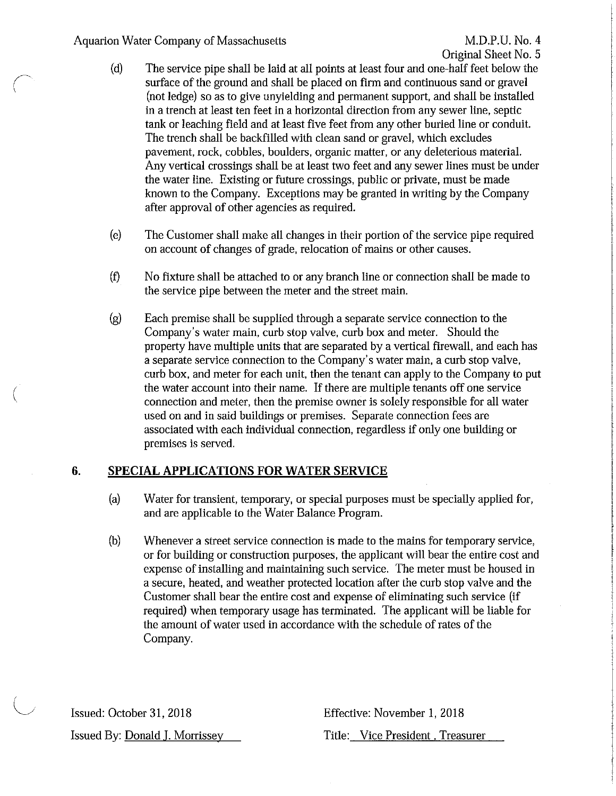## Aquarion Water Company of Massachusetts M.D.P.U. No. 4

 $\sqrt{2}$ \

(

- (d) The service pipe shall be laid at all points at least four and one-half feet below the surface of the ground and shall be placed on firm and continuous sand or gravel (not ledge) so as to give unyielding and permanent support, and shall be installed in a trench at least ten feet in a horizontal direction from any sewer line, septic tank or leaching field and at least five feet from any other buried line or conduit. The trench shall be backfilled with clean sand or gravel, which excludes pavement, rock, cobbles, boulders, organic matter, or any deleterious material. Any vertical crossings shall be at least two feet and any sewer lines must be under the water line. Existing or future crossings, public or private, must be made known to the Company. Exceptions may be granted in writing by the Company after approval of other agencies as required.
- (e) The Customer shall make all changes in their portion of the service pipe required on account of changes of grade, relocation of mains or other causes.
- (f) No fixture shall be attached to or any branch line or connection shall be made to the service pipe between the meter and the street main.
- (g) Each premise shall be supplied through a separate service connection to the Company's water main, curb stop valve, curb box and meter. Should the property have multiple units that are separated by a vertical firewall, and each has a separate service connection to the Company's water main, a curb stop valve, curb box, and meter for each unit, then the tenant can apply to the Company to put the water account into their name. If there are multiple tenants off one service connection and meter, then the premise owner is solely responsible for all water used on and in said buildings or premises. Separate connection fees are associated with each individual connection, regardless if only one building or premises is served.

# **6. SPECIAL APPLICATIONS FOR WATER SERVICE**

- (a) Water for transient, temporary, or special purposes must be specially applied for, and are applicable to the Water Balance Program.
- (b) Whenever a street service connection is made to the mains for temporary service, or for building or construction purposes, the applicant will bear the entire cost and expense of installing and maintaining such service. The meter must be housed in a secure, heated, and weather protected location after the curb stop valve and the Customer shall bear the entire cost and expense of eliminating such service (if required) when temporary usage has terminated. The applicant will be liable for the amount of water used in accordance with the schedule of rates of the Company.

Issued: October 31, 2018 Issued By: Donald I. Morrissey

Title: Vice President . Treasurer

Effective: November 1, 2018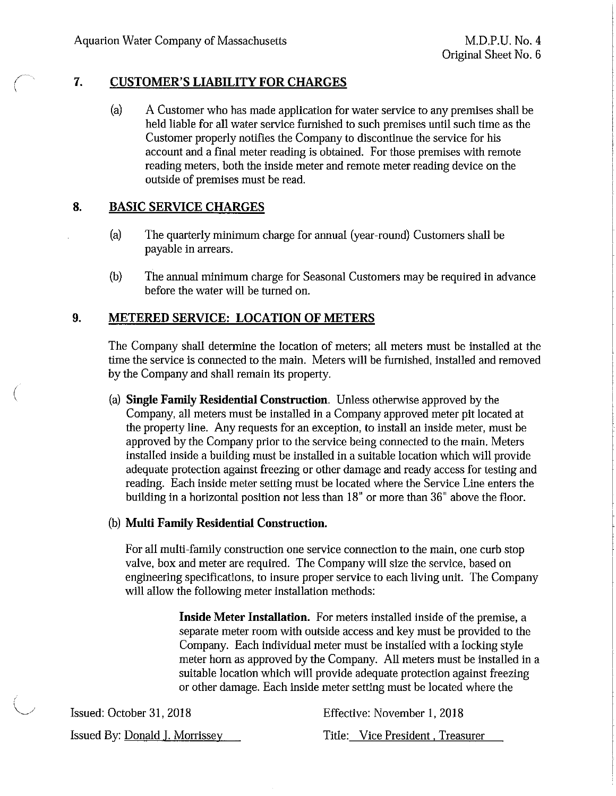(  $\setminus$ 

(

## **7. CUSTOMER'S LIABILITY FOR CHARGES**

(a) A Customer who has made application for water service to any premises shall be held liable for all water service furnished to such premises until such time as the Customer properly notifies the Company to discontinue the service for his account and a final meter reading is obtained. For those premises with remote reading meters, both the inside meter and remote meter reading device on the outside of premises must be read.

## **8. BASIC SERVICE CHARGES**

- (a) The quarterly minimum charge for annual (year-round) Customers shall be payable in arrears.
- (b) The annual minimum charge for Seasonal Customers may be required in advance before the water will be turned on.

## **9. METERED SERVICE: LOCATION OF METERS**

The Company shall determine the location of meters; all meters must be installed at the time the service is connected to the main. Meters will be furnished, installed and removed by the Company and shall remain its property.

(a) **Single Family Residential Construction.** Unless otherwise approved by the Company, all meters must be installed in a Company approved meter pit located at the property line. Any requests for an exception, to install an inside meter, must be approved by the Company prior to the service being connected to the main. Meters installed inside a building must be installed in a suitable location which will provide adequate protection against freezing or other damage and ready access for testing and reading. Each inside meter setting must be located where the Service Line enters the building in a horizontal position not less than 18" or more than 36" above the floor.

### (b) **Multi Family Residential Construction.**

For all multi-family construction one service connection to the main, one curb stop valve, box and meter are required. The Company will size the service, based on engineering specifications, to insure proper service to each living unit. The Company will allow the following meter installation methods:

> **Inside Meter Installation.** For meters installed inside of the premise, a separate meter room with outside access and key must be provided to the Company. Each individual meter must be installed with a locking style meter horn as approved by the Company. All meters must be installed in a suitable location which will provide adequate protection against freezing or other damage. Each inside meter setting must be located where the

| Issued: October 31, 2018       | Effective: November 1, 2018      |
|--------------------------------|----------------------------------|
| Issued By: Donald J. Morrissey | Title: Vice President, Treasurer |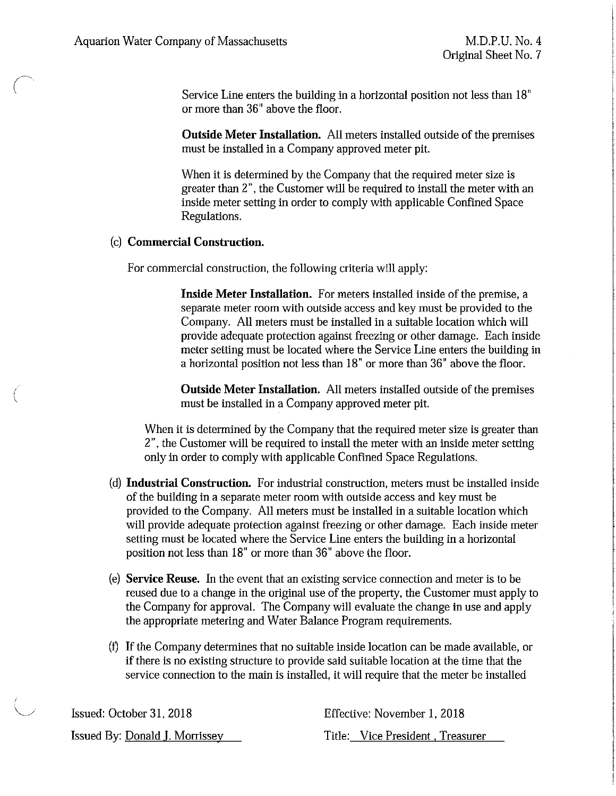$\left( \begin{array}{c} \lambda \end{array} \right)$ 

(  $\backslash$  Service Line enters the building in a horizontal position not less than 18" or more than 36" above the floor.

**Outside Meter Installation.** All meters installed outside of the premises must be installed in a Company approved meter pit.

When it is determined by the Company that the required meter size is greater than 2", the Customer will be required to install the meter with an inside meter setting in order to comply with applicable Confined Space Regulations.

### (c) **Commercial Construction.**

For commercial construction, the following criteria will apply:

**Inside Meter Installation.** For meters installed inside of the premise, a separate meter room with outside access and key must be provided to the Company. All meters must be installed in a suitable location which will provide adequate protection against freezing or other damage. Each inside meter setting must be located where the Service Line enters the building in a horizontal position not less than 18" or more than 36" above the floor.

**Outside Meter Installation.** All meters installed outside of the premises must be installed in a Company approved meter pit.

When it is determined by the Company that the required meter size is greater than 2", the Customer will be required to install the meter with an inside meter setting only in order to comply with applicable Confined Space Regulations.

- (d) **Industrial Construction.** For industrial construction, meters must be installed inside of the building in a separate meter room with outside access and key must be provided to the Company. All meters must be installed in a suitable location which will provide adequate protection against freezing or other damage. Each inside meter setting must be located where the Service Line enters the building in a horizontal position not less than 18" or more than 36" above the floor.
- (e) **Service Reuse.** In the event that an existing service connection and meter is to be reused due to a change in the original use of the property, the Customer must apply to the Company for approval. The Company will evaluate the change in use and apply the appropriate metering and Water Balance Program requirements.
- (f) If the Company determines that no suitable inside location can be made available, or if there is no existing structure to provide said suitable location at the time that the service connection to the main is installed, it will require that the meter be installed

| Issued: October 31, 2018              | Effective: November 1, 2018      |
|---------------------------------------|----------------------------------|
| <b>Issued By: Donald J. Morrissey</b> | Title: Vice President, Treasurer |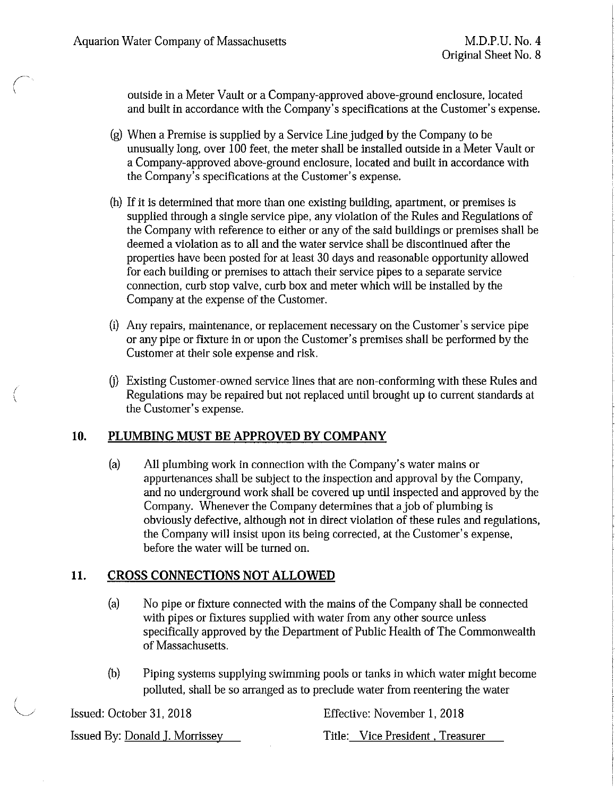~~  $\left($ 

(  $\overline{\phantom{a}}$  outside in a Meter Vault or a Company-approved above-ground enclosure, located and built in accordance with the Company's specifications at the Customer's expense.

- $(g)$  When a Premise is supplied by a Service Line judged by the Company to be unusually long, over 100 feet, the meter shall be installed outside in a Meter Vault or a Company-approved above-ground enclosure, located and built in accordance with the Company's specifications at the Customer's expense.
- (h) If it is determined that more than one existing building, apartment, or premises is supplied through a single service pipe, any violation of the Rules and Regulations of the Company with reference to either or any of the said buildings or premises shall be deemed a violation as to all and the water service shall be discontinued after the properties have been posted for at least 30 days and reasonable opportunity allowed for each building or premises to attach their service pipes to a separate service connection, curb stop valve, curb box and meter which will be installed by the Company at the expense of the Customer.
- (i) Any repairs, maintenance, or replacement necessary on the Customer's service pipe or any pipe or fixture in or upon the Customer's premises shall be performed by the Customer at their sole expense and risk.
- (i) Existing Customer-owned service lines that are non-conforming with these Rules and Regulations may be repaired but not replaced until brought up to current standards at the Customer's expense.

#### **10. PLUMBING MUST BE APPROVED BY COMPANY**

(a) All plumbing work in connection with the Company's water mains or appurtenances shall be subject to the inspection and approval by the Company, and no underground work shall be covered up until inspected and approved by the Company. Whenever the Company determines that a job of plumbing is obviously defective, although not in direct violation of these rules and regulations, the Company will insist upon its being corrected, at the Customer's expense, before the water will be turned on.

# **11. CROSS CONNECTIONS NOT ALLOWED**

- (a) No pipe or fixture connected with the mains of the Company shall be connected with pipes or fixtures supplied with water from any other source unless specifically approved by the Department of Public Health of The Commonwealth of Massachusetts.
- (b) Piping systems supplying swimming pools or tanks in which water might become polluted, shall be so arranged as to preclude water from reentering the water

| Issued: October 31, 2018       | Effective: November 1, 2018      |
|--------------------------------|----------------------------------|
| Issued By: Donald J. Morrissey | Title: Vice President, Treasurer |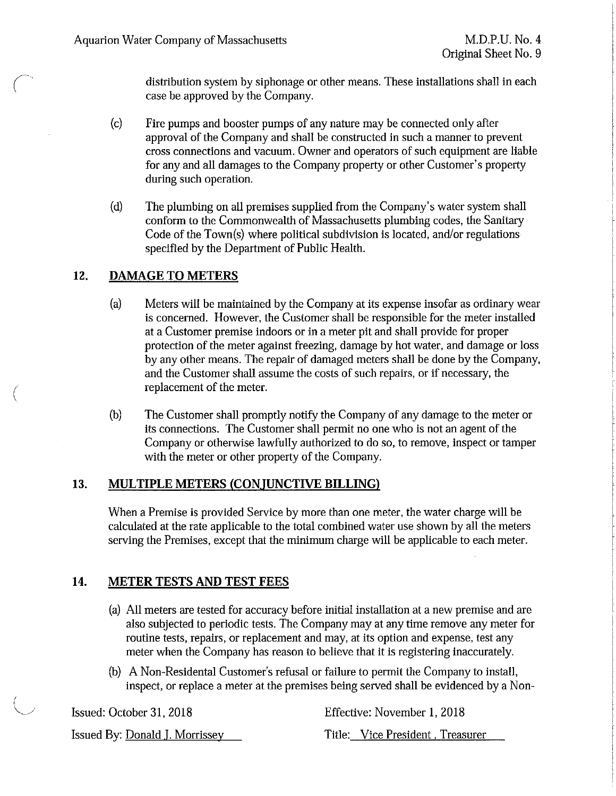distribution system by siphonage or other means. These installations shall in each case be approved by the Company.

- (c) Fire pumps and booster pumps of any nature may be connected only after approval of the Company and shall be constructed in such a manner to prevent cross connections and vacuum. Owner and operators of such equipment are liable for any and all damages to the Company property or other Customer's property during such operation.
- (d) The plumbing on all premises supplied from the Company's water system shall conform to the Commonwealth of Massachusetts plumbing codes, the Sanitary Code of the Town(s) where political subdivision is located, and/or regulations specified by the Department of Public Health.

## **12. DAMAGE TO METERS**

(

- (a) Meters will be maintained by the Company at its expense insofar as ordinary wear is concerned. However, the Customer shall be responsible for the meter installed at a Customer premise indoors or in a meter pit and shall provide for proper protection of the meter against freezing, damage by hot water, and damage or loss by any other means. The repair of damaged meters shall be done by the Company, and the Customer shall assume the costs of such repairs, or if necessary, the replacement of the meter.
- (b) The Customer shall promptly notify the Company of any damage to the meter or its connections. The Customer shall permit no one who is not an agent of the Company or otherwise lawfully authorized to do so, to remove, inspect or tamper with the meter or other property of the Company.

## **13. MULTIPLE METERS (CONJUNCTIVE BILLING)**

When a Premise is provided Service by more than one meter, the water charge will be calculated at the rate applicable to the total combined water use shown by all the meters serving the Premises, except that the minimum charge will be applicable to each meter.

# **14. METER TESTS AND TEST FEES**

- (a) All meters are tested for accuracy before initial installation at a new premise and are also subjected to periodic tests. The Company may at any time remove any meter for routine tests, repairs, or replacement and may, at its option and expense, test any meter when the Company has reason to believe that it is registering inaccurately.
- (b) A Non-Residental Customer's refusal or failure to permit the Company to install, inspect, or replace a meter at the premises being served shall be evidenced by a Non-

| Issued: October 31, 2018       | Effective: November 1, 2018      |
|--------------------------------|----------------------------------|
| Issued By: Donald J. Morrissey | Title: Vice President, Treasurer |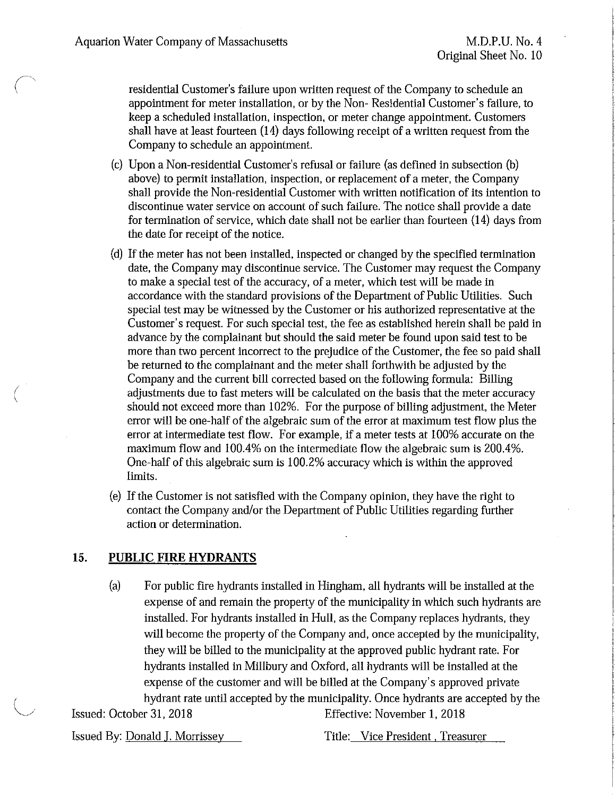residential Customer's failure upon written request of the Company to schedule an appointment for meter installation, or by the Non- Residential Customer's failure, to keep a scheduled installation, inspection, or meter change appointment. Customers shall have at least fourteen (14) days following receipt of a written request from the Company to schedule an appointment.

- (c) Upon a Non-residential Customer's refusal or failure (as defined in subsection (b) above) to permit installation, inspection, or replacement of a meter, the Company shall provide the Non-residential Customer with written notification of its intention to discontinue water service on account of such failure. The notice shall provide a date for termination of service, which date shall not be earlier than fourteen (14) days from the date for receipt of the notice.
- (d) If the meter has not been installed, inspected or changed by the specified termination date, the Company may discontinue service. The Customer may request the Company to make a special test of the accuracy, of a meter, which test will be made in accordance with the standard provisions of the Department of Public Utilities. Such special test may be witnessed by the Customer or his authorized representative at the Customer's request. For such special test, the fee as established herein shall be paid in advance by the complainant but should the said meter be found upon said test to be more than two percent incorrect to the prejudice of the Customer, the fee so paid shall be returned to the complainant and the meter shall forthwith be adjusted by the Company and the current bill corrected based on the following formula: Billing adjustments due to fast meters will be calculated on the basis that the meter accuracy should not exceed more than 102%. For the purpose of billing adjustment, the Meter error will be one-half of the algebraic sum of the error at maximum test flow plus the error at intermediate test flow. For example, if a meter tests at 100% accurate on the maximum flow and 100.4% on the intermediate flow the algebraic sum is 200.4%. One-half of this algebraic sum is 100.2% accuracy which is within the approved limits.
- (e) If the Customer is not satisfied with the Company opinion, they have the right to contact the Company and/or the Department of Public Utilities regarding further action or determination.

### **15. PUBLIC FIRE HYDRANTS**

(a) For public fire hydrants installed in Hingham, all hydrants will be installed at the expense of and remain the property of the municipality in which such hydrants are installed. For hydrants installed in Hull, as the Company replaces hydrants, they will become the property of the Company and, once accepted by the municipality, they will be billed to the municipality at the approved public hydrant rate. For hydrants installed in Millbury and Oxford, all hydrants will be installed at the expense of the customer and will be billed at the Company's approved private hydrant rate until accepted by the municipality. Once hydrants are accepted by the

Issued: October 31, 2018 **Effective: November 1, 2018** 

 $\overline{\phantom{a}}$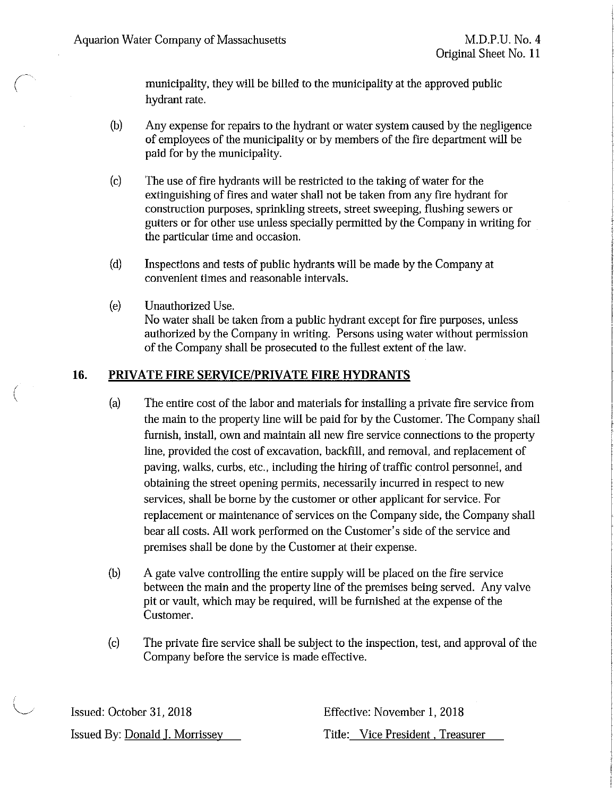$\bigg($ 

(  $\setminus$ 

municipality, they will be billed to the municipality at the approved public hydrant rate.

- (b) Any expense for repairs to the hydrant or water system caused by the negligence of employees of the municipality or by members of the fire department will be paid for by the municipality.
- (c) The use of fire hydrants will be restricted to the taking of water for the extinguishing of fires and water shall not be taken from any fire hydrant for construction purposes, sprinkling streets, street sweeping, flushing sewers or gutters or for other use unless specially permitted by the Company in writing for the particular time and occasion.
- (d) Inspections and tests of public hydrants will be made by the Company at convenient times and reasonable intervals.
- (e) Unauthorized Use. No water shall be taken from a public hydrant except for fire purposes, unless authorized by the Company in writing. Persons using water without permission of the Company shall be prosecuted to the fullest extent of the law.

## **16. PRIVATE FIRE SERVICE/PRIVATE FIRE HYDRANTS**

- (a) The entire cost of the labor and materials for installing a private fire service from the main to the property line will be paid for by the Customer. The Company shall furnish, install, own and maintain all new fire service connections to the property line, provided the cost of excavation, backfill, and removal, and replacement of paving, walks, curbs, etc., including the hiring of traffic control personnel, and obtaining the street opening permits, necessarily incurred in respect to new services, shall be borne by the customer or other applicant for service. For replacement or maintenance of services on the Company side, the Company shall bear all costs. All work performed on the Customer's side of the service and premises shall be done by the Customer at their expense.
- (b) A gate valve controlling the entire supply will be placed on the fire service between the main and the property line of the premises being served. Any valve pit or vault, which may be required, will be furnished at the expense of the Customer.
- (c) The private fire service shall be subject to the inspection, test, and approval of the Company before the service is made effective.

Issued: October 31, 2018 Issued By: Donald I. Morrissey Effective: November 1, 2018

Title: Vice President . Treasurer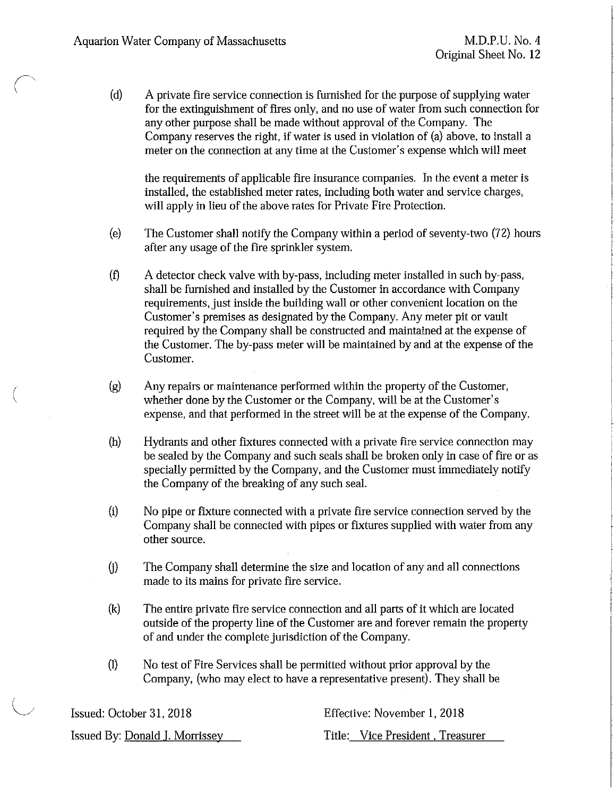(

(d) A private fire service connection is furnished for the purpose of supplying water for the extinguishment of fires only, and no use of water from such connection for any other purpose shall be made without approval of the Company. The Company reserves the right, if water is used in violation of (a) above, to install a meter on the connection at any time at the Customer's expense which will meet

the requirements of applicable fire insurance companies. In the event a meter is installed, the established meter rates, including both water and service charges, will apply in lieu of the above rates for Private Fire Protection.

- (e) The Customer shall notify the Company within a period of seventy-two (72) hours after any usage of the fire sprinkler system.
- (f) A detector check valve with by-pass, including meter installed in such by-pass, shall be furnished and installed by the Customer in accordance with Company requirements, just inside the building wall or other convenient location on the Customer's premises as designated by the Company. Any meter pit or vault required by the Company shall be constructed and maintained at the expense of the Customer. The by-pass meter will be maintained by and at the expense of the Customer.
- (g) Any repairs or maintenance performed within the property of the Customer, whether done by the Customer or the Company, will be at the Customer's expense, and that performed in the street will be at the expense of the Company.
- (h) Hydrants and other fixtures connected with a private fire service connection may be sealed by the Company and such seals shall be broken only in case of fire or as specially permitted by the Company, and the Customer must immediately notify the Company of the breaking of any such seal.
- (i) No pipe or fixture connected with a private fire service connection served by the Company shall be connected with pipes or fixtures supplied with water from any other source.
- G) The Company shall determine the size and location of any and all connections made to its mains for private fire service.
- (k) The entire private fire service connection and all parts of it which are located outside of the property line of the Customer are and forever remain the property of and under the complete jurisdiction of the Company.
- (1) No test of Fire Services shall be permitted without prior approval by the Company, (who may elect to have a representative present). They shall be

| Issued: October 31, 2018       | Effective: November 1, 2018      |
|--------------------------------|----------------------------------|
| Issued By: Donald J. Morrissey | Title: Vice President, Treasurer |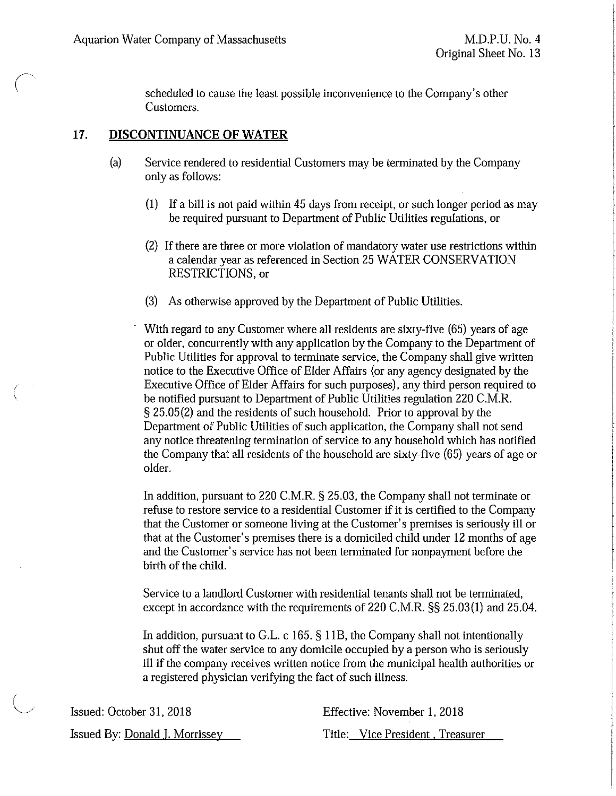(

scheduled to cause the least possible inconvenience to the Company's other Customers.

#### **17. DISCONTINUANCE OF WATER**

- (a) Service rendered to residential Customers may be terminated by the Company only as follows:
	- (I) If a bill is not paid within 45 days from receipt, or such longer period as may be required pursuant to Department of Public Utilities regulations, or
	- (2) If there are three or more violation of mandatory water use restrictions within a calendar year as referenced in Section 25 WATER CONSERVATION RESTRICTIONS, or
	- (3) As otherwise approved by the Department of Public Utilities.

With regard to any Customer where all residents are sixty-five (65) years of age or older, concurrently with any application by the Company to the Department of Public Utilities for approval to terminate service, the Company shall give written notice to the Executive Office of Elder Affairs (or any agency designated by the Executive Office of Elder Affairs for such purposes), any third person required to be notified pursuant to Department of Public Utilities regulation 220 C.M.R. § 25.05(2) and the residents of such household. Prior to approval by the Department of Public Utilities of such application, the Company shall not send any notice threatening termination of service to any household which has notified the Company that all residents of the household are sixty-five (65) years of age or older.

In addition, pursuant to 220 C.M.R. § 25.03, the Company shall not terminate or refuse to restore service to a residential Customer if it is certified to the Company that the Customer or someone living at the Customer's premises is seriously ill or that at the Customer's premises there is a domiciled child under 12 months of age and the Customer's service has not been terminated for nonpayment before the birth of the child.

Service to a landlord Customer with residential tenants shall not be terminated, except in accordance with the requirements of 220 C.M.R. §§ 25.03(1) and 25.04.

In addition, pursuant to G.L. c 165. § 118, the Company shall not intentionally shut off the water service to any domicile occupied by a person who is seriously ill if the company receives written notice from the municipal health authorities or a registered physician verifying the fact of such illness.

| Issued: October 31, 2018               | Effective: November 1, 2018      |
|----------------------------------------|----------------------------------|
| Issued By: <u>Donald J. Morrissev </u> | Title: Vice President, Treasurer |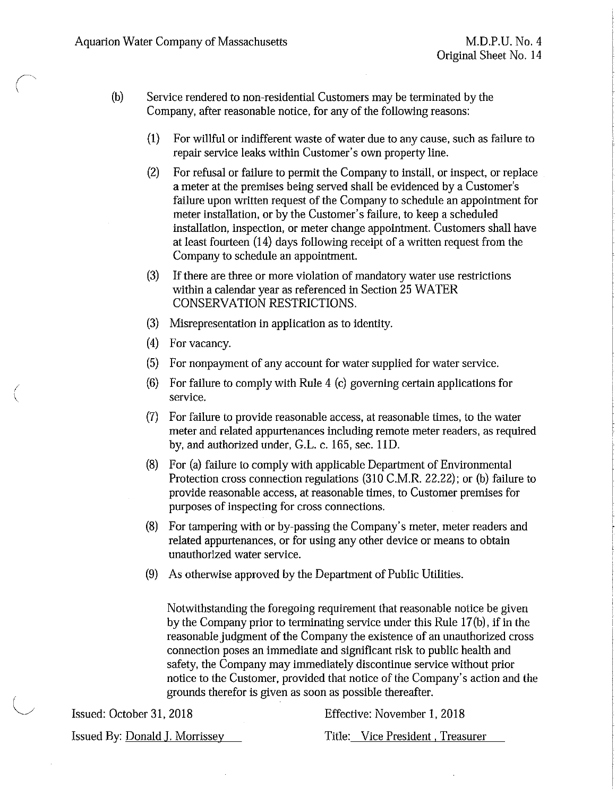$\sqrt{ }$ 

 $\langle$ 

 $\overline{\phantom{0}}$ 

- (b) Service rendered to non-residential Customers may be terminated by the Company, after reasonable notice, for any of the following reasons:
	- (1) For willful or indifferent waste of water due to any cause, such as failure to repair service leaks within Customer's own property line.
	- (2) For refusal or failure to permit the Company to install, or inspect, or replace a meter at the premises being served shall be evidenced by a Customer's failure upon written request of the Company to schedule an appointment for meter installation, or by the Customer's failure, to keep a scheduled installation, inspection, or meter change appointment. Customers shall have at least fourteen (14) days following receipt of a written request from the Company to schedule an appointment.
	- (3) If there are three or more violation of mandatory water use restrictions within a calendar year as referenced in Section 25 WATER CONSERVATION RESTRICTIONS.
	- (3) Misrepresentation in application as to identity.
	- (4) For vacancy.
	- (5) For nonpayment of any account for water supplied for water service.
	- (6) For failure to comply with Rule 4 (c) governing certain applications for service.
	- (7) For failure to provide reasonable access, at reasonable times, to the water meter and related appurtenances including remote meter readers, as required by, and authorized under, G.L. c. 165, sec. 11D.
	- (8) For (a) failure to comply with applicable Department of Environmental Protection cross connection regulations (310 C.M.R. 22.22): or (b) failure to provide reasonable access, at reasonable times, to Customer premises for purposes of inspecting for cross connections.
	- (8) For tampering with or by-passing the Company's meter, meter readers and related appurtenances, or for using any other device or means to obtain unauthorized water service.
	- (9) As otherwise approved by the Department of Public Utilities.

Notwithstanding the foregoing requirement that reasonable notice be given by the Company prior to terminating service under this Rule 17 (b), if in the reasonable judgment of the Company the existence of an unauthorized cross connection poses an immediate and significant risk to public health and safety, the Company may immediately discontinue service without prior notice to the Customer, provided that notice of the Company's action and the grounds therefor is given as soon as possible thereafter.

Issued: October 31, 2018

Effective: November 1, 2018

Issued By: Donald J. Morrissey

Title: Vice President , Treasurer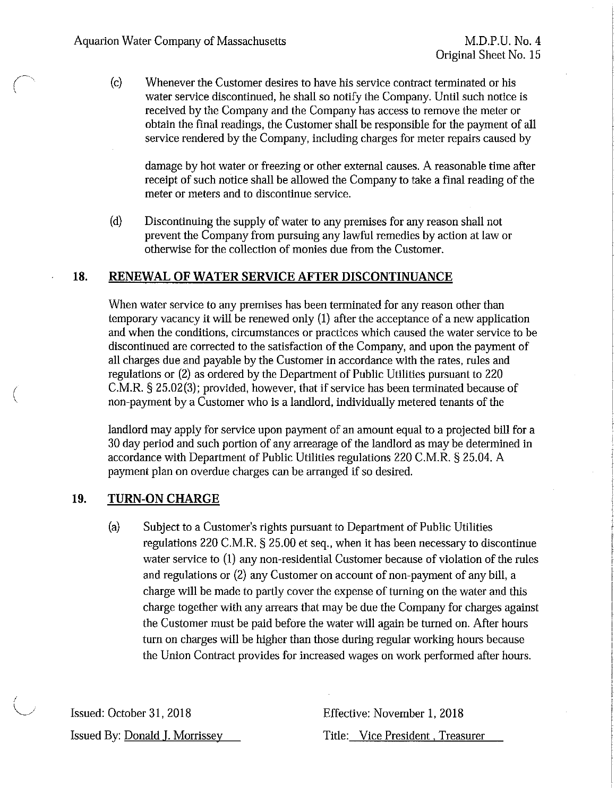(c) Whenever the Customer desires to have his service contract terminated or his water service discontinued, he shall so notify the Company. Until such notice is received by the Company and the Company has access to remove the meter or obtain the final readings, the Customer shall be responsible for the payment of all service rendered by the Company, including charges for meter repairs caused by

damage by hot water or freezing or other external causes. A reasonable time after receipt of such notice shall be allowed the Company to take a final reading of the meter or meters and to discontinue service.

(d) Discontinuing the supply of water to any premises for any reason shall not prevent ihe Company from pursuing any lawful remedies by action at law or otherwise for the collection of monies due from the Customer.

#### **18. RENEWAL OF WATER SERVICE AFTER DISCONTINUANCE**

When water service to any premises has been terminated for any reason other than temporary vacancy it will be renewed only (1) after the acceptance of a new application and when the conditions, circumstances or practices which caused the water service to be discontinued are corrected to ihe satisfaction of the Company, and upon the payment of all charges due and payable by the Customer in accordance with the rates, rules and regulations or (2) as ordered by the Department of Public Utilities pursuant to 220 C.M.R. § 25.02(3); provided, however, that if service has been terminated because of non-payment by a Customer who is a landlord, individually metered tenants of ihe

landlord may apply for service upon payment of an amount equal to a projected bill for a 30 day period and such portion of any arrearage of the landlord as may be determined in accordance with Department of Public Utilities regulations 220 C.M.R. § 25.04. A payment plan on overdue charges can be arranged if so desired.

### **19. TURN-ON CHARGE**

(a) Subject to a Customer's rights pursuant to Department of Public Utilities regulations 220 C.M.R. § 25.00 et seq., when it has been necessary to discontinue water service to (I) any non-residential Customer because of violation of the rules and regulations or (2) any Customer on account of non-payment of any bill, a charge will be made to partly cover the expense of turning on the water and this charge together with any arrears that may be due the Company for charges against the Customer must be paid before the water will again be turned on. After hours turn on charges will be higher than those during regular working hours because the Union Contract provides for increased wages on work performed after hours.

Issued: October 31, 2018 Issued By: Donald I. Morrissey Effective: November 1, 2018 Title: Vice President . Treasurer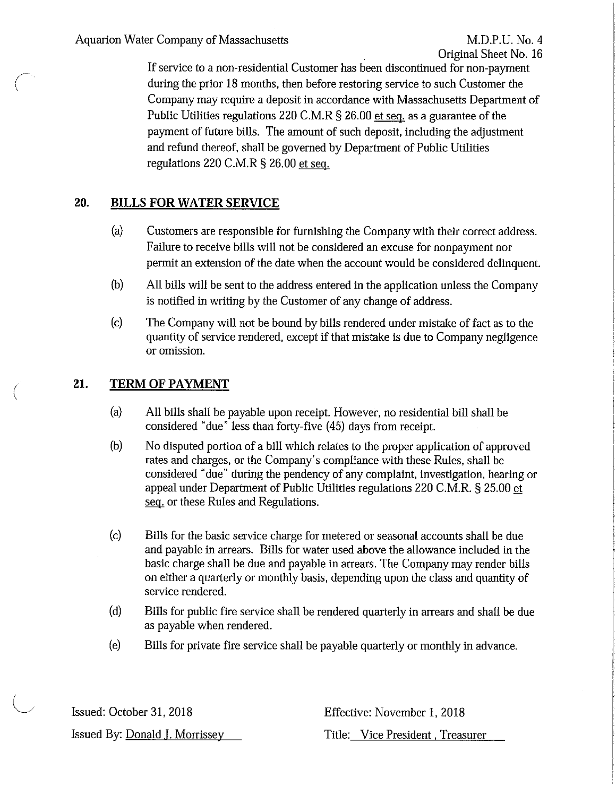If service to a non-residential Customer has been discontinued for non-payment during the prior 18 months, then before restoring service to such Customer the Company may require a deposit in accordance with Massachusetts Department of Public Utilities regulations 220 C.M.R § 26.00 et seq. as a guarantee of the payment of future bills. The amount of such deposit, including the adjustment and refund thereof, shall be governed by Department of Public Utilities regulations 220 C.M.R § 26.00 et seq.

# **20. BILLS FOR WATER SERVICE**

- (a) Customers are responsible for furnishing the Company with their correct address. Failure to receive bills will not be considered an excuse for nonpayment nor permit an extension of the date when the account would be considered delinquent.
- (b) All bills will be sent to the address entered in the application unless the Company is notified in writing by the Customer of any change of address.
- (c) The Company will not be bound by bills rendered under mistake of fact as to the quantity of service rendered, except if that mistake is due to Company negligence or omission.

#### **21. TERM OF PAYMENT**

(

- (a) All bills shall be payable upon receipt. However, no residential bill shall be considered "due" less than forty-five (45) days from receipt.
- (b) No disputed portion of a bill which relates to the proper application of approved rates and charges, or the Company's compliance with these Rules, shall be considered "due" during the pendency of any complaint, investigation, hearing or appeal under Department of Public Utilities regulations 220 C.M.R. § 25.00 et seq. or these Rules and Regulations.
- (c) Bills for the basic service charge for metered or seasonal accounts shall be due and payable in arrears. Bills for water used above the allowance included in the basic charge shall be due and payable in arrears. The Company may render bills on either a quarterly or monthly basis, depending upon the class and quantity of service rendered.
- (d) Bills for public fire service shall be rendered quarterly in arrears and shall be due as payable when rendered.
- (e) Bills for private fire service shall be payable quarterly or monthly in advance.

Issued: October 31, 2018 Issued By: Donald J. Morrissey Effective: November 1, 2018 Title: Vice President , Treasurer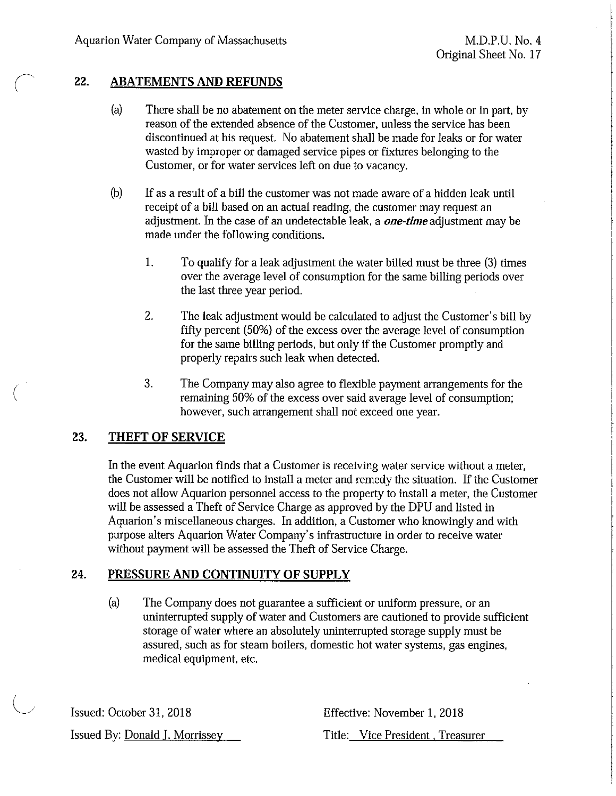## 22. **ABATEMENTS AND REFUNDS**

- (a) There shall be no abatement on the meter service charge, in whole or in part, by reason of the extended absence of the Customer, unless the service has been discontinued at his request. No abatement shall be made for leaks or for water wasted by improper or damaged service pipes or fixtures belonging to the Customer, or for water services left on due to vacancy.
- (b) If as a result of a bill the customer was not made aware of a hidden leak until receipt of a bill based on an actual reading, the customer may request an adjustment. In the case of an undetectable leak, a *one-time* adjustment may be made under the following conditions.
	- l. To qualify for a leak adjustment the water billed must be three (3) times over the average level of consumption for the same billing periods over the last three year period.
	- 2. The leak adjustment would be calculated to adjust the Customer's bill by fifty percent (SO%) of the excess over the average level of consumption for the same billing periods, but only if ihe Customer promptly and properly repairs such leak when detected.
	- 3. The Company may also agree to flexible payment arrangements for the remaining 50% of the excess over said average level of consumption; however, such arrangement shall not exceed one year.

## **23. THEFT OF SERVICE**

(

In the event Aquarion finds that a Customer is receiving water service without a meter, the Customer will be notified to install a meter and remedy the situation. If the Customer does not allow Aquarion personnel access to the property to install a meter, the Customer will be assessed a Theft of Service Charge as approved by the DPU and listed in Aquarion's miscellaneous charges. In addition, a Customer who knowingly and with purpose alters Aquarion Water Company's infrastructure in order to receive water without payment will be assessed the Theft of Service Charge.

## **24. PRESSURE AND CONTINUITY OF SUPPLY**

(a) The Company does not guarantee a sufficient or uniform pressure, or an uninterrupted supply of water and Customers are cautioned to provide sufficient storage of water where an absolutely uninterrupted storage supply must be assured, such as for steam boilers, domestic hot water systems, gas engines, medical equipment, etc.

Issued: October 31, 2018 Issued By: Donald I. Morrissey Effective: November 1, 2018 Title: Vice President , Treasurer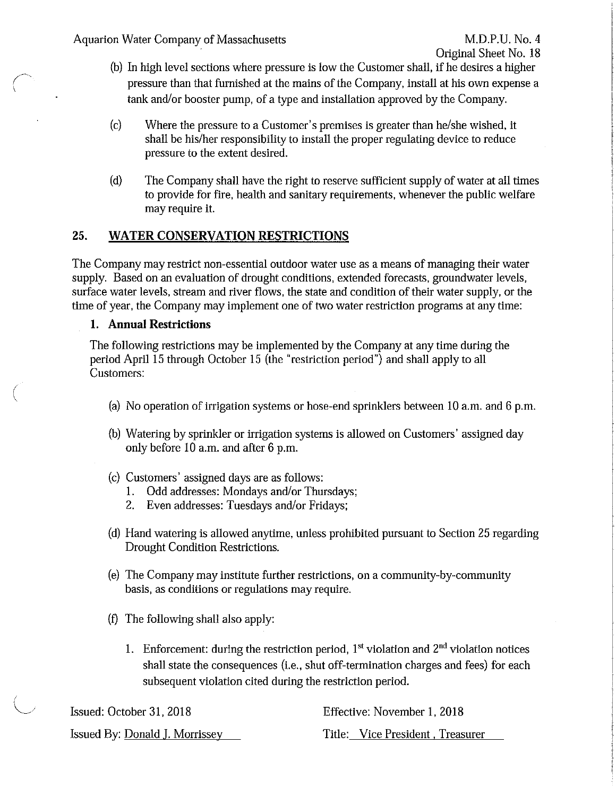- (b) In high level sections where pressure is low the Customer shall, if he desires a higher pressure than that furnished at the mains of the Company, install at his own expense a tank and/or booster pump, of a type and installation approved by the Company.
- (c) Where the pressure to a Customer's premises is greater than he/she wished, it shall be his/her responsibility to install the proper regulating device to reduce pressure to the extent desired.
- (d) The Company shall have the right to reserve sufficient supply of water at all times to provide for fire, health and sanitary requirements, whenever the public welfare may require it.

## 25. **WATER CONSERVATION RESTRICTIONS**

The Company may restrict non-essential outdoor water use as a means of managing their water supply. Based on an evaluation of drought conditions, extended forecasts, groundwater levels, surface water levels, stream and river flows, the state and condition of their water supply, or the time of year, the Company may implement one of two water restriction programs at any time:

## **1. Annual Restrictions**

 $\bigg($ 

The following restrictions may be implemented by the Company at any time during the period April 15 through October 15 (the "restriction period") and shall apply to all Customers:

- (a) No operation of irrigation systems or hose-end sprinklers between 10 a.m. and 6 p.m.
- (b) Watering by sprinkler or irrigation systems is allowed on Customers' assigned day only before 10 a.m. and after 6 p.m.
- (c) Customers' assigned days are as follows:
	- 1. Odd addresses: Mondays and/or Thursdays;
	- 2. Even addresses: Tuesdays and/or Fridays;
- (d) Hand watering is allowed anytime, unless prohibited pursuant to Section 25 regarding Drought Condition Restrictions.
- (e) The Company may institute further restrictions, on a community-by-community basis, as conditions or regulations may require.
- (f) The following shall also apply:
	- 1. Enforcement: during the restriction period,  $1<sup>st</sup>$  violation and  $2<sup>nd</sup>$  violation notices shall state the consequences (i.e., shut off-termination charges and fees) for each subsequent violation cited during the restriction period.

| Issued: October 31, 2018       | Effective: November 1, 2018      |
|--------------------------------|----------------------------------|
| Issued By: Donald J. Morrissey | Title: Vice President, Treasurer |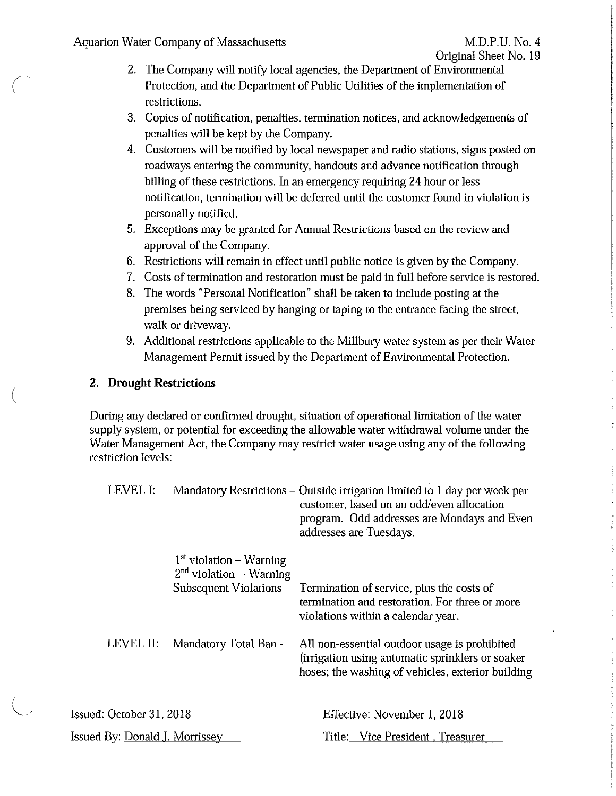*(*   $\langle$ 

(

I  $\setminus$ 

- 2. The Company will notify local agencies, the Department of Environmental Protection, and the Department of Public Utilities of ihe implementation of restrictions.
- 3. Copies of notification, penalties, termination notices, and acknowledgements of penalties will be kept by the Company.
- 4. Customers will be notified by local newspaper and radio stations, signs posted on roadways entering the community, handouts and advance notification through billing of ihese restrictions. In an emergency requiring 24 hour or less notification, termination will be deferred until the customer found in violation is personally notified.
- 5. Exceptions may be granted for Annual Restrictions based on ihe review and approval of the Company.
- 6. Restrictions will remain in effect until public notice is given by the Company.
- 7. Costs of termination and restoration must be paid in full before service is restored.
- 8. The words "Personal Notification" shall be taken to include posting at the premises being serviced by hanging or taping to the entrance facing the street, walk or driveway.
- 9. Additional restrictions applicable to the Millbury water system as per their Water Management Permit issued by the Department of Environmental Protection.

# 2. **Drought Restrictions**

During any declared or confirmed drought, situation of operational limitation of the water supply system, or potential for exceeding the allowable water withdrawal volume under the Water Management Act, the Company may restrict water usage using any of the following restriction levels:

| LEVEL I:                       |                                                                                     | Mandatory Restrictions - Outside irrigation limited to 1 day per week per<br>customer, based on an odd/even allocation<br>program. Odd addresses are Mondays and Even<br>addresses are Tuesdays. |
|--------------------------------|-------------------------------------------------------------------------------------|--------------------------------------------------------------------------------------------------------------------------------------------------------------------------------------------------|
|                                | $1st$ violation – Warning<br>$2nd$ violation $-$ Warning<br>Subsequent Violations - | Termination of service, plus the costs of<br>termination and restoration. For three or more<br>violations within a calendar year.                                                                |
| LEVEL II:                      | Mandatory Total Ban -                                                               | All non-essential outdoor usage is prohibited<br>(irrigation using automatic sprinklers or soaker<br>hoses; the washing of vehicles, exterior building                                           |
| Issued: October 31, 2018       |                                                                                     | Effective: November 1, 2018                                                                                                                                                                      |
| Issued By: Donald J. Morrissey |                                                                                     | Title: Vice President, Treasurer                                                                                                                                                                 |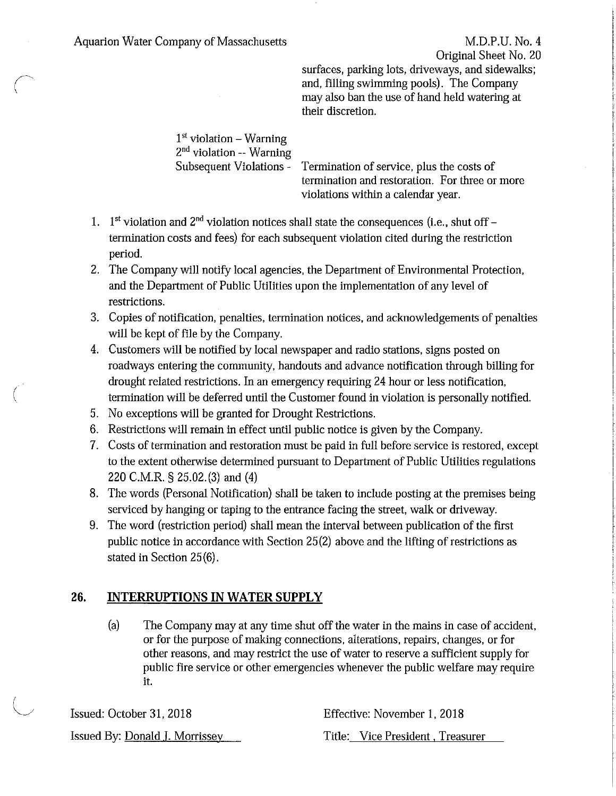Original Sheet No. 20

surfaces, parking lots, driveways, and sidewalks; and, filling swimming pools). The Company may also ban the use of hand held watering at their discretion.

1st violation - Warning 2<sup>nd</sup> violation -- Warning Subsequent Violations - Termination of service, plus the costs of termination and restoration. For three or more violations within a calendar year.

- 1.  $1<sup>st</sup>$  violation and  $2<sup>nd</sup>$  violation notices shall state the consequences (i.e., shut off termination costs and fees) for each subsequent violation cited during the restriction period.
- 2. The Company will notify local agencies, the Department of Environmental Protection, and the Department of Public Utilities upon the implementation of any level of restrictions.
- 3. Copies of notification, penalties, termination notices, and acknowledgements of penalties will be kept of file by the Company.
- 4. Customers will be notified by local newspaper and radio stations, signs posted on roadways entering the community, handouts and advance notification through billing for drought related restrictions. In an emergency requiring 24 hour or less notification, termination will be deferred until the Customer found in violation is personally notified.
- 5. No exceptions will be granted for Drought Restrictions.

(

- 6. Restrictions will remain in effect until public notice is given by the Company.
- 7. Costs of termination and restoration must be paid in full before service is restored, except to the extent otherwise determined pursuant to Department of Public Utilities regulations 220 C.M.R. § 25.02.(3) and (4)
- 8. The words (Personal Notification) shall be taken to include posting at the premises being serviced by hanging or taping to the entrance facing the street, walk or driveway.
- 9. The word (restriction period) shall mean the interval between publication of the first public notice in accordance with Section 25(2) above and the lifting of restrictions as stated in Section 25 (6).

# **26. INTERRUPTIONS IN WATER SUPPLY**

(a) The Company may at any time shut off the water in the mains in case of accident, or for the purpose of making connections, alterations, repairs, changes, or for other reasons, and may restrict the use of water to reserve a sufficient supply for public fire service or other emergencies whenever the public welfare may require it.

Issued: October 31. 2018 Issued By: Donald I. Morrissey Effective: November 1, 2018 Title: Vice President , Treasurer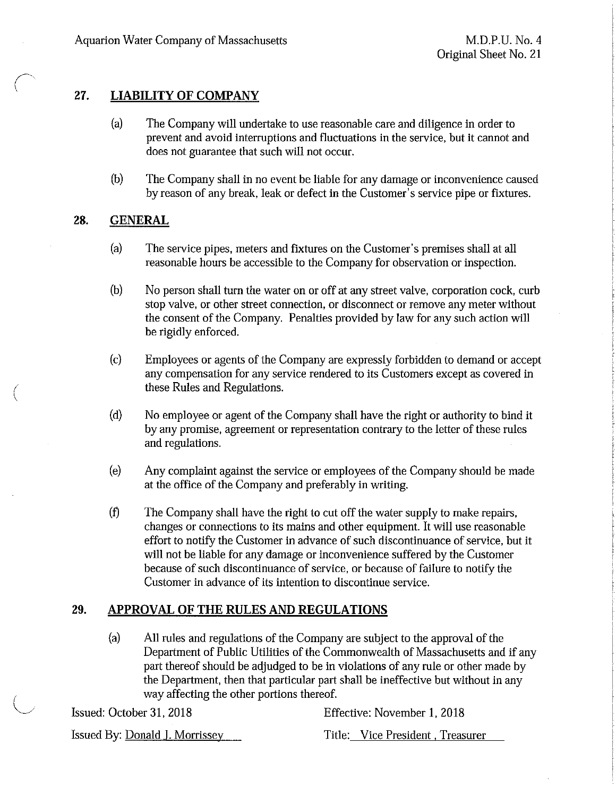# **27. LIABILITY OF COMPANY**

- (a) The Company will undertake to use reasonable care and diligence in order to prevent and avoid interruptions and fluctuations in the service, but it cannot and does not guarantee that such will not occur.
- (b) The Company shall in no event be liable for any damage or inconvenience caused by reason of any break, leak or defect in the Customer's service pipe or fixtures.

## 28. **GENERAL**

*(*   $\setminus$ 

- (a) The service pipes, meters and fixtures on the Customer's premises shall at all reasonable hours be accessible to the Company for observation or inspection.
- (b) No person shall turn the water on or off at any street valve, corporation cock, curb stop valve, or other street connection, or disconnect or remove any meter without the consent of the Company. Penalties provided by law for any such action will be rigidly enforced.
- (c) Employees or agents of the Company are expressly forbidden to demand or accept any compensation for any service rendered to its Customers except as covered in these Rules and Regulations.
- (d) No employee or agent of the Company shall have the right or authority to bind it by any promise, agreement or representation contrary to the letter of these rules and regulations.
- (e) Any complaint against the service or employees of the Company should be made at the office of the Company and preferably in writing.
- (f) The Company shall have the right to cut off the water supply to make repairs, changes or connections to its mains and other equipment. It will use reasonable effort to notify the Customer in advance of such discontinuance of service, but it will not be liable for any damage or inconvenience suffered by the Customer because of such discontinuance of service, or because of failure to notify the Customer in advance of its intention to discontinue service.

# **29. APPROVAL OF THE RULES AND REGULATIONS**

(a) All rules and regulations of the Company are subject to the approval of the Department of Public Utilities of the Commonwealth of Massachusetts and if any part thereof should be adjudged to be in violations of any rule or other made by the Department, then that particular part shall be ineffective but without in any way affecting the other portions thereof.

Issued: October 31, 2018 Effective: November I, 2018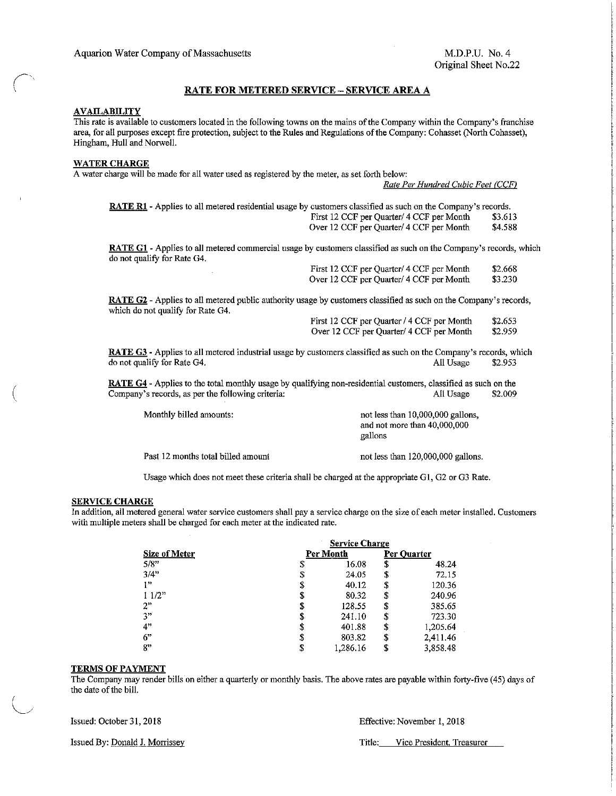### RATE FOR METERED SERVICE- SERVICE AREA A

#### **AVAILABILITY**

 $\bigg($ I

(

I  $\bigcup$ 

This rate is available to customers located in the following towns on the mains of the Company within the Company's franchise area, for all purposes except fire protection, subject to the Rules and Regulations of the Company: Cohasset (North Cohasset), Hingham, Hull and Norwell.

#### WATER CHARGE

A water charge will be made for all water used as registered by the meter, *as* set forth below:

*Rate Per Hundred Cubic Feet CCCF/* 

RATE R1 - Applies to all metered residential usage by customers classified as such on the Company's records.<br>First 12 CCF per Quarter/ 4 CCF per Month \$3.613 First 12 CCF per Quarter/ 4 CCF per Month \$3.613<br>Over 12 CCF per Quarter/ 4 CCF per Month \$4.588 Over 12 CCF per Quarter/ 4 CCF per Month

RATE G1 - Applies to all metered commercial usage by customers classified as such on the Company's records, which do not qualify for Rate G4.

|  | First 12 CCF per Quarter/ 4 CCF per Month | \$2.668 |
|--|-------------------------------------------|---------|
|  | Over 12 CCF per Quarter/ 4 CCF per Month  | \$3.230 |

RATE G2 - Applies to all metered public authority usage by customers classified as such on the Company's records, which do not qualify for Rate G4.

| First 12 CCF per Quarter / 4 CCF per Month | \$2.653 |  |
|--------------------------------------------|---------|--|
| Over 12 CCF per Quarter/ 4 CCF per Month   | \$2.959 |  |

RATE G3 - Applies to all metered industrial usage by customers classified as such on the Company's records, which do not qualify for Rate G4.<br>All Usage \$2.953 do not qualify for Rate G4. All Usage \$2.953

RATE G4 - Applies to the total monthly usage by qualifying non-residential customers, classified as such on the Company's records, as per the following criteria: All Usage \$2.009

Monthly billed amounts:

Past 12 months total billed amount

not less than 10,000,000 gallons, and not more than 40,000,000 gallons

not less than 120,000,000 gallons.

Usage which does not meet these criteria shall be charged at the appropriate G1, G2 or G3 Rate.

#### SERVICE CHARGE

In addition, all metered general water service customers shall pay a service charge on the size of each meter installed. Customers with multiple meters shall be charged for each meter at the indicated rate.

|                           | <b>Service Charge</b> |          |             |          |
|---------------------------|-----------------------|----------|-------------|----------|
| Size of Meter<br>5/8"     | Per Month             |          | Per Ouarter |          |
|                           | \$                    | 16.08    | \$          | 48.24    |
| 3/4"                      | S                     | 24.05    | \$          | 72.15    |
| $\mathbf{1}^{\mathbf{p}}$ | \$                    | 40.12    | S           | 120.36   |
| 11/2"                     |                       | 80.32    | S           | 240.96   |
| 2"                        |                       | 128.55   | S           | 385.65   |
| 3 <sup>n</sup>            | S                     | 241.10   | S           | 723.30   |
| 4"                        | S                     | 401.88   | \$          | 1,205.64 |
| 6"                        | S                     | 803.82   | \$          | 2,411.46 |
| 8"                        | S                     | 1,286.16 | S           | 3.858.48 |

#### TERMS OF PAYMENT

The Company may render bills on either a quarterly or monthly basis. The above rates are payable within forty-five (45) days of the date of the bill.

Issued: October 31, 2018 Effective: November 1, 2018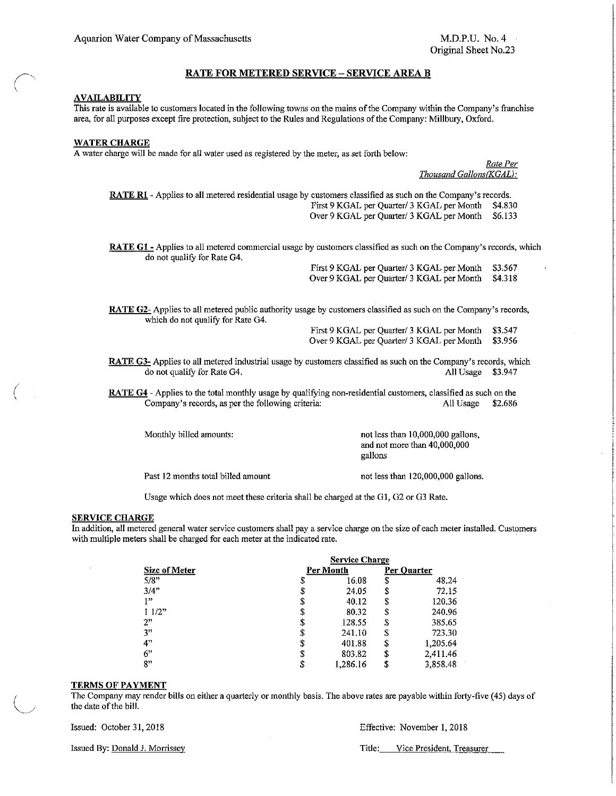#### RATE FOR METERED SERVICE- SERVICE AREA B

#### **AVAILABILITY**

This rate is available to customers located in the following towns on the mains of the Company within the Company's franchise area, for all purposes except fire protection, subject to the Rules and Regulations of the Company: Millbury, Oxford.

#### WATER CHARGE

A water charge will be made for all water used as registered by the meter, as set forth below:

*Rate Per*  **Thousand Gallons(KGAL):** 

RATE R1 - Applies to all metered residential usage by customers classified as such on the Company's records. First 9 KGAL per Quarter/ 3 KGAL per Month \$4.830 Over 9 KGAL per Quarter/ 3 KGAL per Month \$6.133

RATE G1 - Applies to all metered commercial usage by customers classified as such on the Company's records, which do not qualify for Rate G4.

> First 9 KGAL per Quarter/ 3 KGAL per Month Over 9 KGAL per Quarter/ 3 KGAL per Month \$3.567 \$4.318

RATE G2- Applies to all metered public authority usage by customers classified as such on the Company's records, which do not qualify for Rate G4.

First 9 KGAL per Quarter/ 3 KGAL per Month Over 9 KGAL per Quarter/ 3 KGAL per Month \$3.547 \$3.956

RATE G3- Applies to all metered industrial usage by customers classified as such on the Company's records, which do not qualify for Rate G4. All Usage \$3.947

RATE G4- Applies to the total monthly usage by qualifying non-residential customers, classified as such on the Company's records, as per the following criteria: All Usage \$2.686

Monthly billed amounts:

not less than 10,000,000 gallons, and not more than 40,000,000 gallons

Past 12 months total billed amount

not less than 120,000,000 gallons.

Usage which does not meet these criteria shall be charged at the G1, G2 or G3 Rate.

#### SERVICE CHARGE

(

In addition, all metered general water service customers shall pay a service charge on the size of each meter installed. Customers with multiple meters shall be charged for each meter at the indicated rate.

|               | <b>Service Charge</b> |          |             |          |
|---------------|-----------------------|----------|-------------|----------|
| Size of Meter | Per Month             |          | Per Ouarter |          |
| 5/8"          | \$                    | 16.08    | \$          | 48.24    |
| 3/4"          | S                     | 24.05    | S           | 72.15    |
| 1 22          | \$                    | 40.12    | \$          | 120,36   |
| 11/2"         | \$                    | 80.32    | \$          | 240.96   |
| 2"            | \$                    | 128.55   | S           | 385.65   |
| 3"            | \$                    | 241.10   | \$          | 723.30   |
| 4"            | \$                    | 401.88   | \$          | 1,205.64 |
| 6"            | \$                    | 803.82   | \$          | 2,411.46 |
| 8"            | \$                    | 1.286.16 | \$          | 3,858.48 |

#### TERMS OF PAYMENT

<sup>1</sup>The Company may render bills on either a quarterly or monthly basis. The above rates are payable within forty-five ( 45) days of the date of the bill.

Issued: October 31,2018 Effective: November I, 2018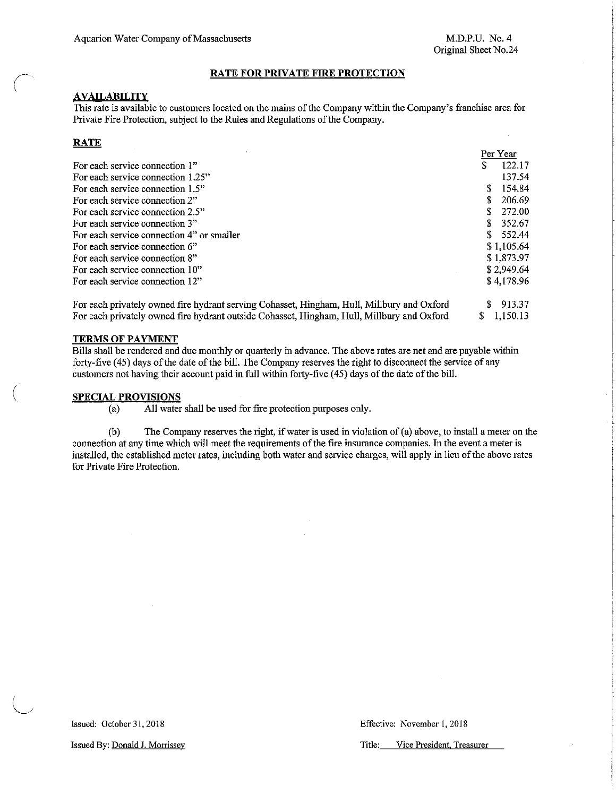### RATE FOR PRIVATE FIRE PROTECTION

### **AVAILABILITY**

This rate is available to customers located on the mains of the Company within the Company's franchise area for Private Fire Protection, subject to the Rules and Regulations of the Company.

### **RATE**

*(* 

(  $\overline{\phantom{a}}$ 

|                                           | Per Year     |
|-------------------------------------------|--------------|
| For each service connection 1"            | 122.17       |
| For each service connection 1.25"         | 137.54       |
| For each service connection 1.5"          | 154.84<br>S. |
| For each service connection 2"            | 206.69       |
| For each service connection 2.5"          | 272.00       |
| For each service connection 3"            | \$352.67     |
| For each service connection 4" or smaller | \$ 552.44    |
| For each service connection 6"            | \$1,105.64   |
| For each service connection 8"            | \$1,873.97   |
| For each service connection 10"           | \$2.949.64   |
| For each service connection 12"           | \$4,178.96   |
|                                           |              |

For each privately owned fire hydrant serving Cohasset, Hingham, Hull, Millbury and Oxford For each privately owned fire hydrant outside Cohasset, Hingham, Hull, Millbury and Oxford \$ 913.37 \$ 1,150.13

### TERMS OF PAYMENT

Bills shall be rendered and due monthly or quarterly in advance. The above rates are net and are payable within forty-five (45) days of the date of the bill. The Company reserves the right to disconnect the service of any customers not having their account paid in full within forty-five (45) days of the date of the bill.

#### SPECIAL PROVISIONS

(a) All water shall be used for fire protection purposes only.

(b) The Company reserves the right, if water is used in violation of(a) above, to install a meter on the connection at any time which will meet the requirements of the fire insurance companies. In the event a meter is installed, the established meter rates, including both water and service charges, will apply in lieu of the above rates for Private Fire Protection.

Issued: October 31, 2018 Effective: November 1, 2018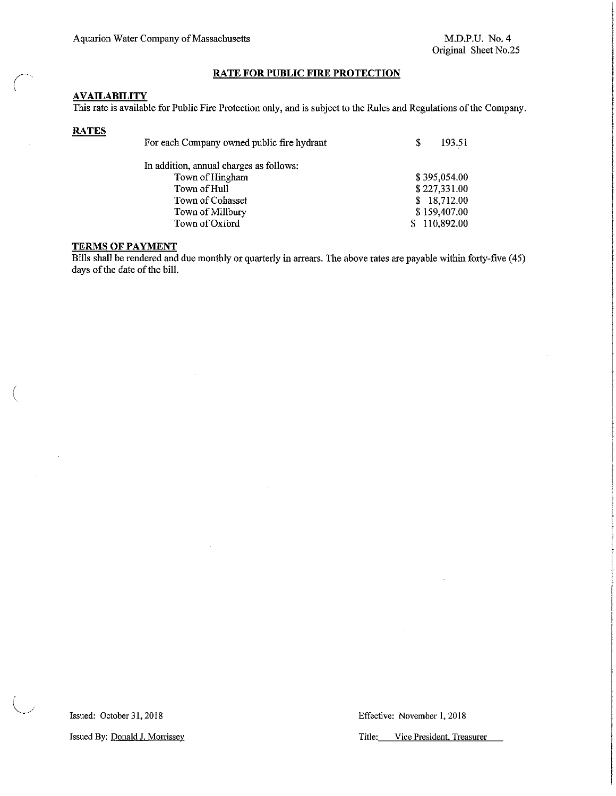### **RATE FOR PUBLIC FIRE PROTECTION**

### **AVAILABILITY**

This rate is available for Public Fire Protection only, and is subject to the Rules and Regulations ofthe Company.

### **RATES**

 $\bigg($ \

(

| For each Company owned public fire hydrant | S   | 193.51       |
|--------------------------------------------|-----|--------------|
| In addition, annual charges as follows:    |     |              |
| Town of Hingham                            |     | \$395,054.00 |
| Town of Hull                               |     | \$227,331.00 |
| Town of Cohasset                           | \$. | 18,712.00    |
| Town of Millbury                           |     | \$159,407.00 |
| Town of Oxford                             |     | 110,892.00   |

### **TERMS OF PAYMENT**

Bills shall be rendered and due monthly or quarterly in arrears. The above rates are payable within forty-five (45) days of the date of the bill.

Issued: October 31,2018 **Effective: November 1, 2018**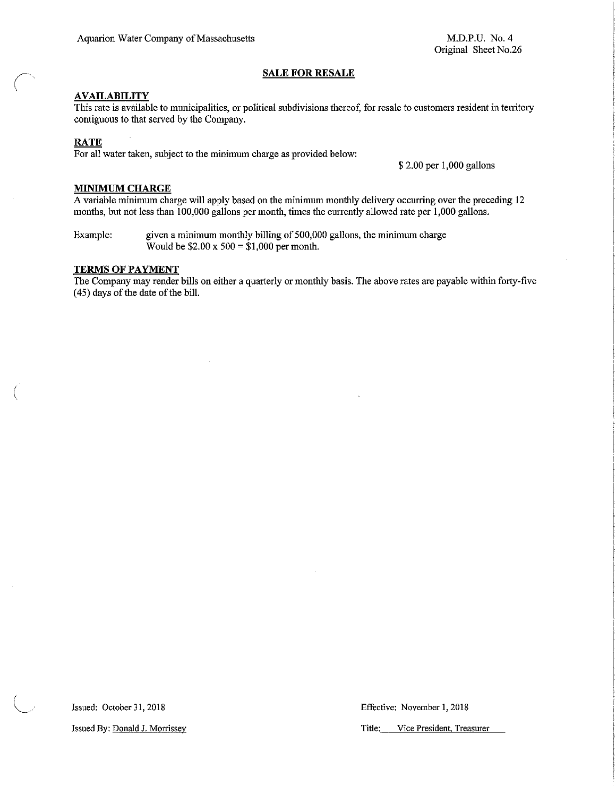M.D.P.U. No.4 Original Sheet No.26

### **SALE FOR RESALE**

### **AVAILABILITY**

**This rate is available to municipalities, or political subdivisions thereof, for resale to customers resident in territory**  contiguous to that served by the Company.

### **RATE**

(

I \ *"---\_/*  For all water taken, subject to the minimum charge as provided below:

\$ 2.00 per 1,000 gallons

### **MINIMUM CHARGE**

A variable minimum charge will apply based on the minimum monthly delivery occurring over the preceding 12 months, but not less than 100,000 gallons per month, times the currently allowed rate per 1,000 gallons.

Example: given a minimum monthly billing of 500,000 gallons, the minimum charge Would be  $$2.00 \times 500 = $1,000$  per month.

### **TERMS OF PAYMENT**

The Company may render bills on either a quarterly or monthly basis. The above rates are payable within forty-five (45) days of the date of the bill.

Issued: October 31,2018 **Effective: November 1, 2018** 

**Issued By: <u>Donald J. Morrissey</u> and Title: The United States Constanting Constanting Constanting Constanting Constanting Constanting Constanting Constanting Constanting Constanting Constanting Constanting Constanting Con**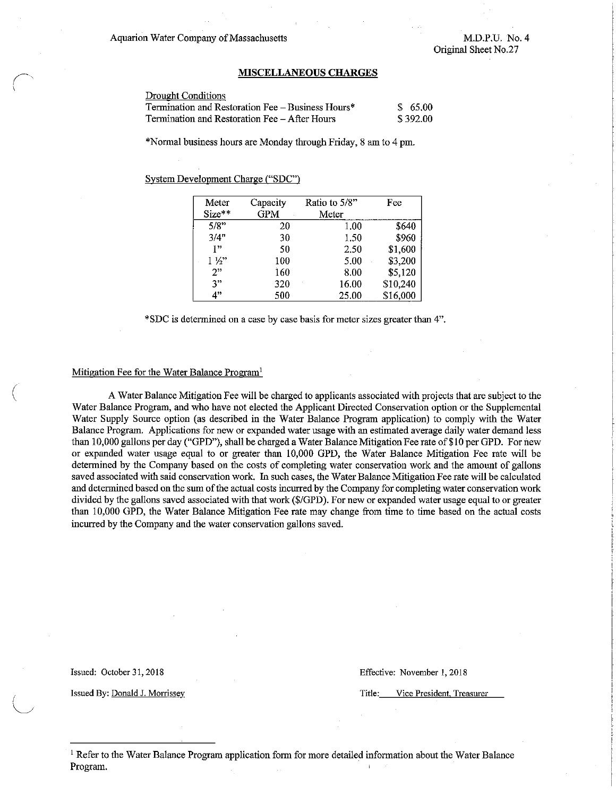Aquarion Water Company of Massachusetts

*(-* \

 $\big($ 

I  $\smile$ 

M.D.P.U. No.4 Original Sheet No.27

#### **NUSCELLANEOUSCHARGES**

| Drought Conditions                                |          |
|---------------------------------------------------|----------|
| Termination and Restoration Fee – Business Hours* | \$65.00  |
| Termination and Restoration Fee – After Hours     | \$392.00 |

\*Normal business hours are Monday through Friday, 8 am to 4 pm.

System Development Charge ("SDC")

| Meter          | Capacity   | Ratio to 5/8" | Fee      |
|----------------|------------|---------------|----------|
| Size**         | <b>GPM</b> | Meter         |          |
| 5/8"           | 20         | 1.00          | \$640    |
| 3/4"           | 30         | 1.50          | \$960    |
| 122            | 50         | 2.50          | \$1,600  |
| $1\frac{1}{2}$ | 100        | 5.00          | \$3,200  |
| $2$ "          | 160        | 8.00          | \$5,120  |
| 3"             | 320        | 16.00         | \$10,240 |
| 4"             | 500        | 25.00         | \$16,000 |

**\*SDC is determined on a case by case basis for meter sizes greater than 4".** 

#### Mitigation Fee for the Water Balance Program'

A Water Balance Mitigation Fee will be charged to applicants associated with projects that are subject to the Water Balance Program, and who have not elected the Applicant Directed Conservation option or the Supplemental Water Supply Source option (as described in the Water Balance Program application) to comply with the Water Balance Program. Applications for new or expanded water usage with an estimated average daily water demand less than 10,000 gallons per day ("GPO"), shall be charged a Water Balance Mitigation Fee rate of\$10 per GPO. For new or expanded water usage equal to or greater than 10,000 GPO, the Water Balance Mitigation Fee rate will be determined by the Company based on the costs of completing water conservation work and the amount of gallons saved associated with said conservation work. In such cases, the Water Balance Mitigation Fee rate will be calculated and determined based on the sum of the actual costs incurred by the Company for completing water conservation work divided by the gallons saved associated with that work (\$/GPO). For new or expanded water usage equal to or greater than 10,000 GPO, the Water Balance Mitigation Fee rate may change from time to time based on the actual costs incurred by the Company and the water conservation gallons saved.

Issued: October 31,2018 **Effective: November 1, 2018** 

**Issued By: Donald J. Morrissey <b>Title:** Vice President, Treasurer

<sup>1</sup> Refer to the Water Balance Program application form for more detailed information about the Water Balance Program.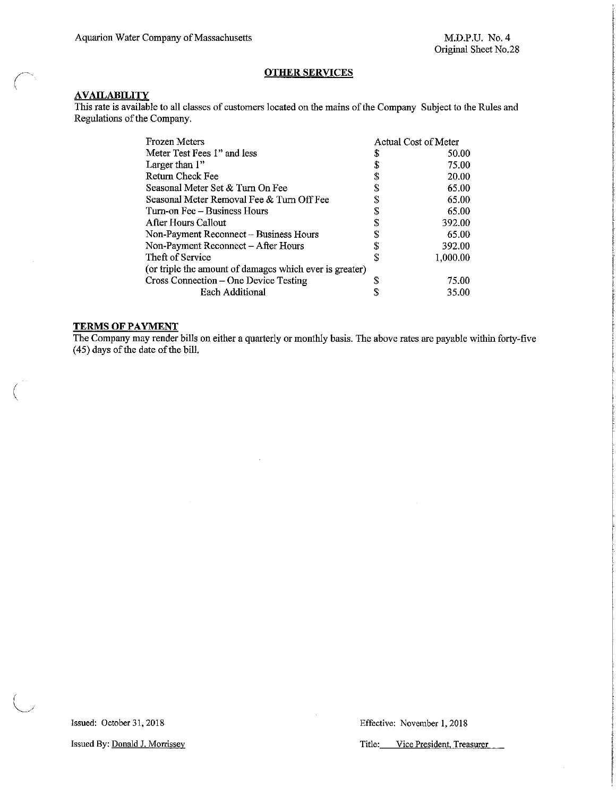### **OTHER SERVICES**

### **AVAILABILITY**

This rate is available to all classes of customers located on the mains of the Company Subject to the Rules and Regulations of the Company.

| Frozen Meters                                           |    | Actual Cost of Meter |  |
|---------------------------------------------------------|----|----------------------|--|
| Meter Test Fees 1" and less                             | S  | 50.00                |  |
| Larger than 1"                                          | \$ | 75.00                |  |
| Return Check Fee                                        | \$ | 20.00                |  |
| Seasonal Meter Set & Turn On Fee                        | S  | 65.00                |  |
| Seasonal Meter Removal Fee & Turn Off Fee               | S  | 65.00                |  |
| Turn-on Fee – Business Hours                            | S  | 65.00                |  |
| After Hours Callout                                     | S  | 392.00               |  |
| Non-Payment Reconnect - Business Hours                  |    | 65.00                |  |
| Non-Payment Reconnect – After Hours                     |    | 392.00               |  |
| Theft of Service                                        | S  | 1,000.00             |  |
| (or triple the amount of damages which ever is greater) |    |                      |  |
| Cross Connection – One Device Testing                   |    | 75.00                |  |
| <b>Each Additional</b>                                  |    | 35.00                |  |

### **TERMS OF PAYMENT**

(

The Company may render bills on either a quarterly or monthly basis. The above rates are payable within forty-five (45) days of the date of the bill.

**Issued By: Donald J. Morrissey Community Community Community Community Community Community Community Community Community Community Community Community Community Community Community Community Community Community Community**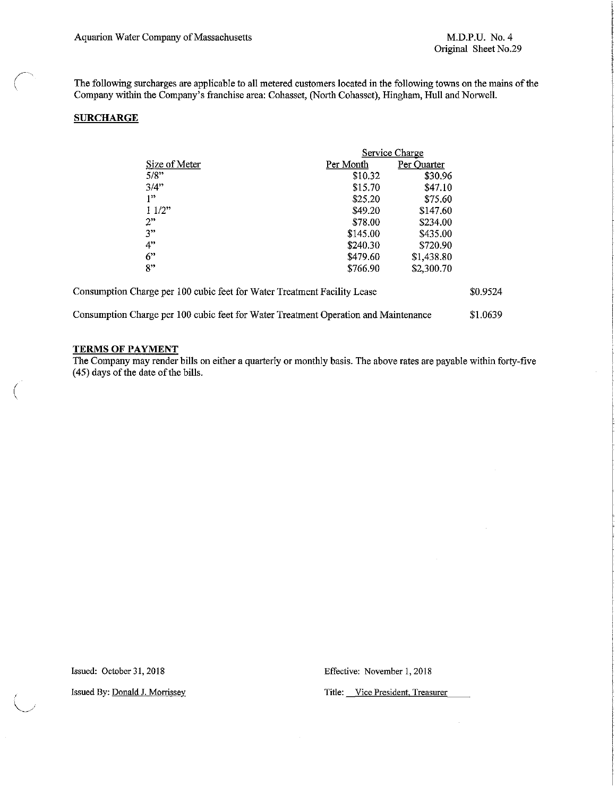The following surcharges are applicable to all metered customers located in the following towns on the mains of the Company within the Company's franchise area: Cohasset, (North Cohasset), Hingham, Hull and Norwell.

### **SURCHARGE**

~-

(

|                                                                                     | Service Charge |             |          |
|-------------------------------------------------------------------------------------|----------------|-------------|----------|
| Size of Meter                                                                       | Per Month      | Per Quarter |          |
| 5/8"                                                                                | \$10.32        | \$30.96     |          |
| 3/4"                                                                                | \$15.70        | \$47.10     |          |
| 1"                                                                                  | \$25.20        | \$75.60     |          |
| 11/2"                                                                               | \$49.20        | \$147.60    |          |
| 2"                                                                                  | \$78.00        | \$234.00    |          |
| 3"                                                                                  | \$145.00       | \$435.00    |          |
| 4"                                                                                  | \$240.30       | \$720.90    |          |
| 6"                                                                                  | \$479.60       | \$1,438.80  |          |
| $\mathbf{R}^{11}$                                                                   | \$766.90       | \$2,300.70  |          |
| Consumption Charge per 100 cubic feet for Water Treatment Facility Lease            |                |             | \$0.9524 |
| Consumption Charge per 100 cubic feet for Water Treatment Operation and Maintenance |                |             | \$1.0639 |

### **TERMS OF PAYMENT**

The Company may render bills on either a quarterly or monthly basis. The above rates are payable within forty-five (45) days of the date of the bills.

Issued: October 31,2018 **Effective: November 1, 2018**